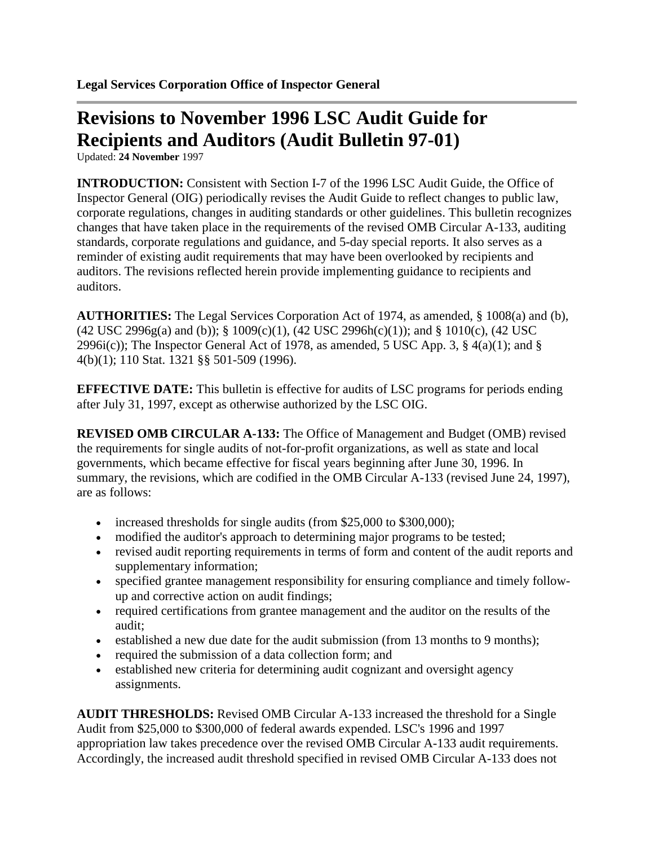## **Revisions to November 1996 LSC Audit Guide for Recipients and Auditors (Audit Bulletin 97-01)**

Updated: **24 November** 1997

**INTRODUCTION:** Consistent with Section I-7 of the 1996 LSC Audit Guide, the Office of Inspector General (OIG) periodically revises the Audit Guide to reflect changes to public law, corporate regulations, changes in auditing standards or other guidelines. This bulletin recognizes changes that have taken place in the requirements of the revised OMB Circular A-133, auditing standards, corporate regulations and guidance, and 5-day special reports. It also serves as a reminder of existing audit requirements that may have been overlooked by recipients and auditors. The revisions reflected herein provide implementing guidance to recipients and auditors.

**AUTHORITIES:** The Legal Services Corporation Act of 1974, as amended, § 1008(a) and (b), (42 USC 2996g(a) and (b)); § 1009(c)(1), (42 USC 2996h(c)(1)); and § 1010(c), (42 USC 2996i(c)); The Inspector General Act of 1978, as amended, 5 USC App. 3,  $\S$  4(a)(1); and  $\S$ 4(b)(1); 110 Stat. 1321 §§ 501-509 (1996).

**EFFECTIVE DATE:** This bulletin is effective for audits of LSC programs for periods ending after July 31, 1997, except as otherwise authorized by the LSC OIG.

**REVISED OMB CIRCULAR A-133:** The Office of Management and Budget (OMB) revised the requirements for single audits of not-for-profit organizations, as well as state and local governments, which became effective for fiscal years beginning after June 30, 1996. In summary, the revisions, which are codified in the OMB Circular A-133 (revised June 24, 1997), are as follows:

- increased thresholds for single audits (from \$25,000 to \$300,000);
- modified the auditor's approach to determining major programs to be tested;
- revised audit reporting requirements in terms of form and content of the audit reports and supplementary information;
- specified grantee management responsibility for ensuring compliance and timely followup and corrective action on audit findings;
- required certifications from grantee management and the auditor on the results of the audit;
- established a new due date for the audit submission (from 13 months to 9 months);
- required the submission of a data collection form; and
- established new criteria for determining audit cognizant and oversight agency assignments.

**AUDIT THRESHOLDS:** Revised OMB Circular A-133 increased the threshold for a Single Audit from \$25,000 to \$300,000 of federal awards expended. LSC's 1996 and 1997 appropriation law takes precedence over the revised OMB Circular A-133 audit requirements. Accordingly, the increased audit threshold specified in revised OMB Circular A-133 does not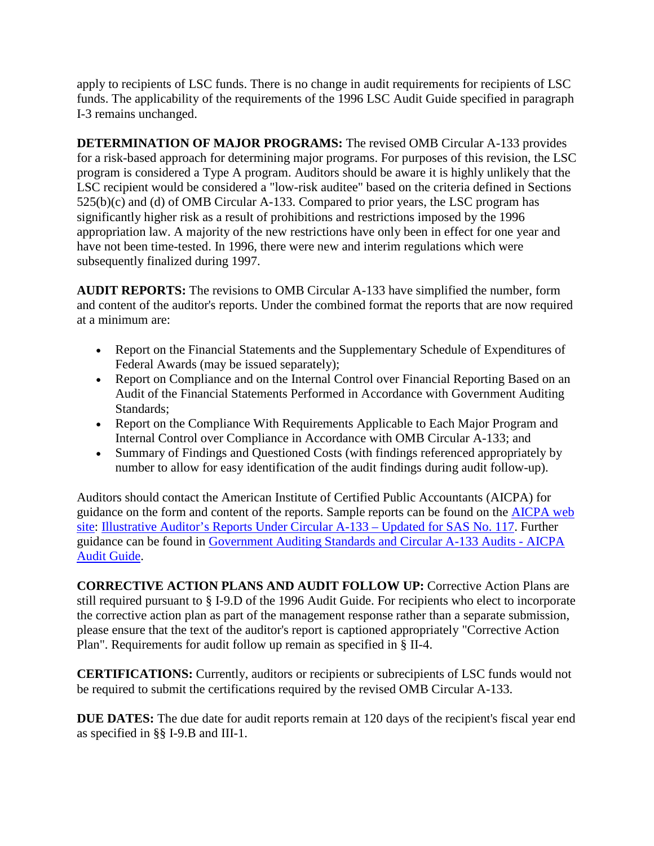apply to recipients of LSC funds. There is no change in audit requirements for recipients of LSC funds. The applicability of the requirements of the 1996 LSC Audit Guide specified in paragraph I-3 remains unchanged.

**DETERMINATION OF MAJOR PROGRAMS:** The revised OMB Circular A-133 provides for a risk-based approach for determining major programs. For purposes of this revision, the LSC program is considered a Type A program. Auditors should be aware it is highly unlikely that the LSC recipient would be considered a "low-risk auditee" based on the criteria defined in Sections 525(b)(c) and (d) of OMB Circular A-133. Compared to prior years, the LSC program has significantly higher risk as a result of prohibitions and restrictions imposed by the 1996 appropriation law. A majority of the new restrictions have only been in effect for one year and have not been time-tested. In 1996, there were new and interim regulations which were subsequently finalized during 1997.

**AUDIT REPORTS:** The revisions to OMB Circular A-133 have simplified the number, form and content of the auditor's reports. Under the combined format the reports that are now required at a minimum are:

- Report on the Financial Statements and the Supplementary Schedule of Expenditures of Federal Awards (may be issued separately);
- Report on Compliance and on the Internal Control over Financial Reporting Based on an Audit of the Financial Statements Performed in Accordance with Government Auditing Standards;
- Report on the Compliance With Requirements Applicable to Each Major Program and Internal Control over Compliance in Accordance with OMB Circular A-133; and
- Summary of Findings and Questioned Costs (with findings referenced appropriately by number to allow for easy identification of the audit findings during audit follow-up).

Auditors should contact the American Institute of Certified Public Accountants (AICPA) for guidance on the form and content of the reports. Sample reports can be found on the [AICPA web](http://www.aicpa.org/)  [site:](http://www.aicpa.org/) [Illustrative Auditor's Reports Under Circular A-133 –](http://www.aicpa.org/InterestAreas/GovernmentalAuditQuality/Resources/IllustrativeAuditorsReports/Pages/OMBCircularA-133IllustrativeReports.aspx) Updated for SAS No. 117. Further guidance can be found in [Government Auditing Standards and Circular A-133 Audits -](http://www.cpa2biz.com/AST/Main/CPA2BIZ_Primary/AuditAttest/IndustryspecificGuidance/Government/PRDOVR%7EPC-012743/PC-012743.jsp) AICPA [Audit Guide.](http://www.cpa2biz.com/AST/Main/CPA2BIZ_Primary/AuditAttest/IndustryspecificGuidance/Government/PRDOVR%7EPC-012743/PC-012743.jsp)

**CORRECTIVE ACTION PLANS AND AUDIT FOLLOW UP:** Corrective Action Plans are still required pursuant to § I-9.D of the 1996 Audit Guide. For recipients who elect to incorporate the corrective action plan as part of the management response rather than a separate submission, please ensure that the text of the auditor's report is captioned appropriately "Corrective Action Plan". Requirements for audit follow up remain as specified in § II-4.

**CERTIFICATIONS:** Currently, auditors or recipients or subrecipients of LSC funds would not be required to submit the certifications required by the revised OMB Circular A-133.

**DUE DATES:** The due date for audit reports remain at 120 days of the recipient's fiscal year end as specified in §§ I-9.B and III-1.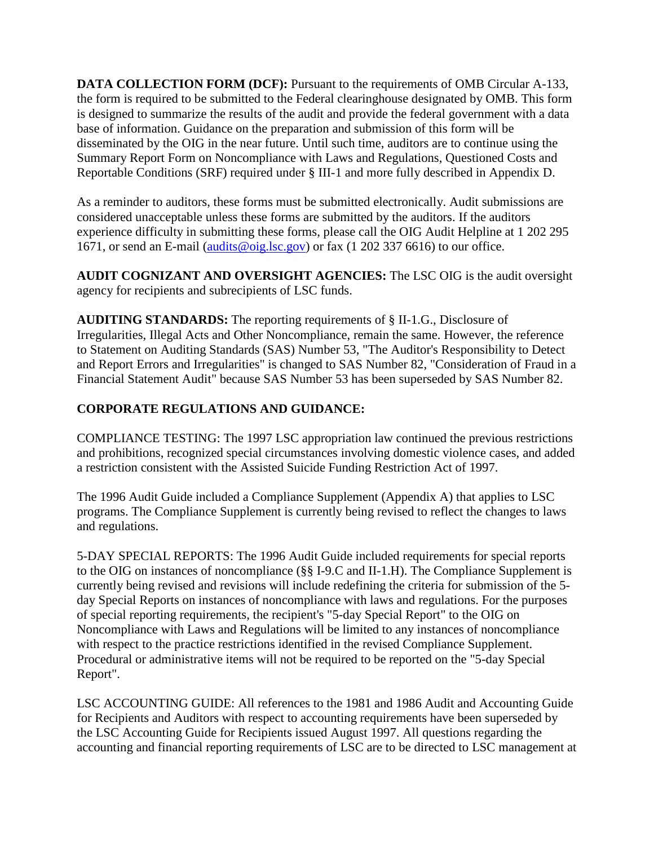**DATA COLLECTION FORM (DCF):** Pursuant to the requirements of OMB Circular A-133, the form is required to be submitted to the Federal clearinghouse designated by OMB. This form is designed to summarize the results of the audit and provide the federal government with a data base of information. Guidance on the preparation and submission of this form will be disseminated by the OIG in the near future. Until such time, auditors are to continue using the Summary Report Form on Noncompliance with Laws and Regulations, Questioned Costs and Reportable Conditions (SRF) required under § III-1 and more fully described in Appendix D.

As a reminder to auditors, these forms must be submitted electronically. Audit submissions are considered unacceptable unless these forms are submitted by the auditors. If the auditors experience difficulty in submitting these forms, please call the OIG Audit Helpline at 1 202 295 1671, or send an E-mail [\(audits@oig.lsc.gov\)](mailto:audits@oig.lsc.gov) or fax (1 202 337 6616) to our office.

**AUDIT COGNIZANT AND OVERSIGHT AGENCIES:** The LSC OIG is the audit oversight agency for recipients and subrecipients of LSC funds.

**AUDITING STANDARDS:** The reporting requirements of § II-1.G., Disclosure of Irregularities, Illegal Acts and Other Noncompliance, remain the same. However, the reference to Statement on Auditing Standards (SAS) Number 53, "The Auditor's Responsibility to Detect and Report Errors and Irregularities" is changed to SAS Number 82, "Consideration of Fraud in a Financial Statement Audit" because SAS Number 53 has been superseded by SAS Number 82.

## **CORPORATE REGULATIONS AND GUIDANCE:**

COMPLIANCE TESTING: The 1997 LSC appropriation law continued the previous restrictions and prohibitions, recognized special circumstances involving domestic violence cases, and added a restriction consistent with the Assisted Suicide Funding Restriction Act of 1997.

The 1996 Audit Guide included a Compliance Supplement (Appendix A) that applies to LSC programs. The Compliance Supplement is currently being revised to reflect the changes to laws and regulations.

5-DAY SPECIAL REPORTS: The 1996 Audit Guide included requirements for special reports to the OIG on instances of noncompliance (§§ I-9.C and II-1.H). The Compliance Supplement is currently being revised and revisions will include redefining the criteria for submission of the 5 day Special Reports on instances of noncompliance with laws and regulations. For the purposes of special reporting requirements, the recipient's "5-day Special Report" to the OIG on Noncompliance with Laws and Regulations will be limited to any instances of noncompliance with respect to the practice restrictions identified in the revised Compliance Supplement. Procedural or administrative items will not be required to be reported on the "5-day Special Report".

LSC ACCOUNTING GUIDE: All references to the 1981 and 1986 Audit and Accounting Guide for Recipients and Auditors with respect to accounting requirements have been superseded by the LSC Accounting Guide for Recipients issued August 1997. All questions regarding the accounting and financial reporting requirements of LSC are to be directed to LSC management at